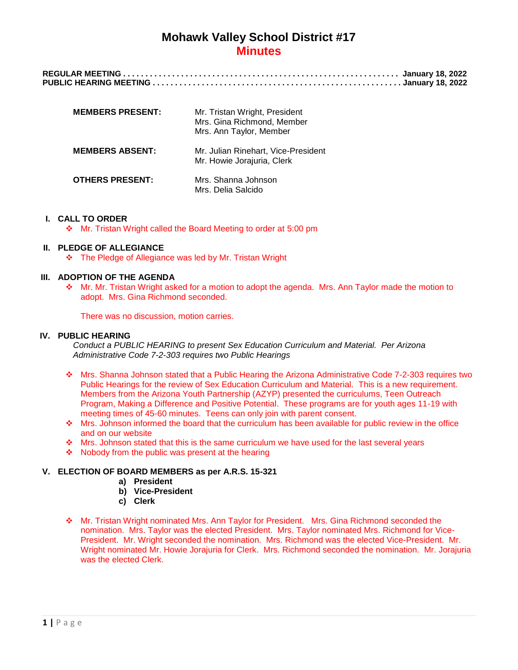| <b>MEMBERS PRESENT:</b> | Mr. Tristan Wright, President<br>Mrs. Gina Richmond, Member<br>Mrs. Ann Taylor, Member |
|-------------------------|----------------------------------------------------------------------------------------|
| <b>MEMBERS ABSENT:</b>  | Mr. Julian Rinehart, Vice-President<br>Mr. Howie Jorajuria, Clerk                      |
| <b>OTHERS PRESENT:</b>  | Mrs. Shanna Johnson<br>Mrs. Delia Salcido                                              |

#### **I. CALL TO ORDER**

Mr. Tristan Wright called the Board Meeting to order at 5:00 pm

## **II. PLEDGE OF ALLEGIANCE**

The Pledge of Allegiance was led by Mr. Tristan Wright

#### **III. ADOPTION OF THE AGENDA**

 Mr. Mr. Tristan Wright asked for a motion to adopt the agenda. Mrs. Ann Taylor made the motion to adopt. Mrs. Gina Richmond seconded.

There was no discussion, motion carries.

#### **IV. PUBLIC HEARING**

*Conduct a PUBLIC HEARING to present Sex Education Curriculum and Material. Per Arizona Administrative Code 7-2-303 requires two Public Hearings*

- Mrs. Shanna Johnson stated that a Public Hearing the Arizona Administrative Code 7-2-303 requires two Public Hearings for the review of Sex Education Curriculum and Material. This is a new requirement. Members from the Arizona Youth Partnership (AZYP) presented the curriculums, Teen Outreach Program, Making a Difference and Positive Potential. These programs are for youth ages 11-19 with meeting times of 45-60 minutes. Teens can only join with parent consent.
- Mrs. Johnson informed the board that the curriculum has been available for public review in the office and on our website
- \* Mrs. Johnson stated that this is the same curriculum we have used for the last several years
- $\div$  Nobody from the public was present at the hearing

#### **V. ELECTION OF BOARD MEMBERS as per A.R.S. 15-321**

- **a) President**
- **b) Vice-President**
- **c) Clerk**
- Mr. Tristan Wright nominated Mrs. Ann Taylor for President. Mrs. Gina Richmond seconded the nomination. Mrs. Taylor was the elected President. Mrs. Taylor nominated Mrs. Richmond for Vice-President. Mr. Wright seconded the nomination. Mrs. Richmond was the elected Vice-President. Mr. Wright nominated Mr. Howie Jorajuria for Clerk. Mrs. Richmond seconded the nomination. Mr. Jorajuria was the elected Clerk.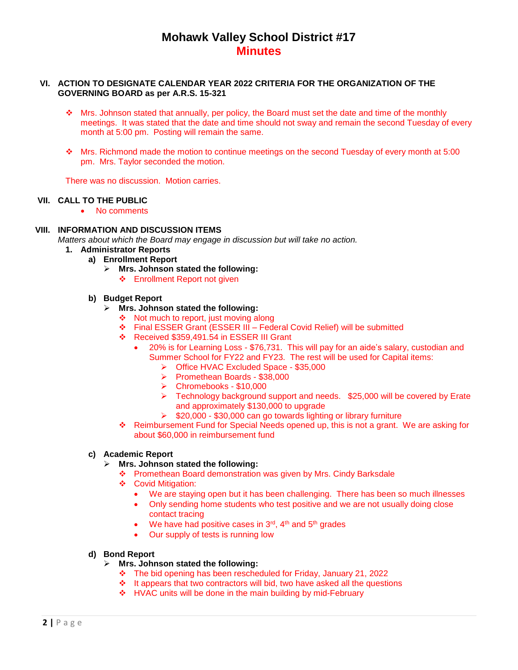#### **VI. ACTION TO DESIGNATE CALENDAR YEAR 2022 CRITERIA FOR THE ORGANIZATION OF THE GOVERNING BOARD as per A.R.S. 15-321**

- $\cdot$  Mrs. Johnson stated that annually, per policy, the Board must set the date and time of the monthly meetings. It was stated that the date and time should not sway and remain the second Tuesday of every month at 5:00 pm. Posting will remain the same.
- Mrs. Richmond made the motion to continue meetings on the second Tuesday of every month at 5:00 pm. Mrs. Taylor seconded the motion.

There was no discussion. Motion carries.

## **VII. CALL TO THE PUBLIC**

• No comments

## **VIII. INFORMATION AND DISCUSSION ITEMS**

*Matters about which the Board may engage in discussion but will take no action.*

- **1. Administrator Reports**
	- **a) Enrollment Report**
		- **Mrs. Johnson stated the following:**
			- Enrollment Report not given

#### **b) Budget Report**

- **Mrs. Johnson stated the following:**
	- $\cdot$  Not much to report, just moving along
	- Final ESSER Grant (ESSER III Federal Covid Relief) will be submitted
	- Received \$359,491.54 in ESSER III Grant
		- 20% is for Learning Loss \$76,731. This will pay for an aide's salary, custodian and Summer School for FY22 and FY23. The rest will be used for Capital items:
			- Office HVAC Excluded Space \$35,000
			- Promethean Boards \$38,000
			- Chromebooks \$10,000
			- $\triangleright$  Technology background support and needs. \$25,000 will be covered by Erate and approximately \$130,000 to upgrade
			- $\geq$  \$20,000 \$30,000 can go towards lighting or library furniture
	- Reimbursement Fund for Special Needs opened up, this is not a grant. We are asking for about \$60,000 in reimbursement fund

## **c) Academic Report**

## **Mrs. Johnson stated the following:**

- Promethean Board demonstration was given by Mrs. Cindy Barksdale
- ❖ Covid Mitigation:
	- We are staying open but it has been challenging. There has been so much illnesses
	- Only sending home students who test positive and we are not usually doing close contact tracing
	- $\bullet$  We have had positive cases in 3<sup>rd</sup>, 4<sup>th</sup> and 5<sup>th</sup> grades
	- Our supply of tests is running low

#### **d) Bond Report**

- **Mrs. Johnson stated the following:**
	- The bid opening has been rescheduled for Friday, January 21, 2022
	- $\cdot \cdot$  It appears that two contractors will bid, two have asked all the questions
		- ❖ HVAC units will be done in the main building by mid-February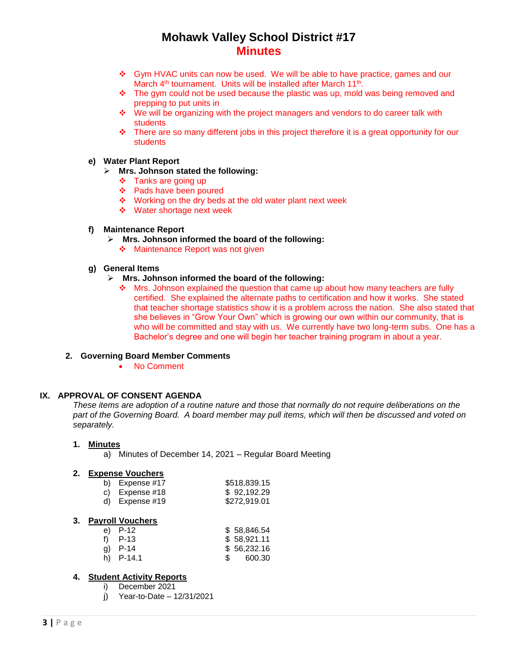- Gym HVAC units can now be used. We will be able to have practice, games and our March 4<sup>th</sup> tournament. Units will be installed after March 11<sup>th</sup>.
- $\cdot \cdot$  The gym could not be used because the plastic was up, mold was being removed and prepping to put units in
- We will be organizing with the project managers and vendors to do career talk with students
- $\div$  There are so many different jobs in this project therefore it is a great opportunity for our students

#### **e) Water Plant Report**

- **Mrs. Johnson stated the following:**
	- $\div$  Tanks are going up
	- Pads have been poured
	- ❖ Working on the dry beds at the old water plant next week
	- ❖ Water shortage next week

### **f) Maintenance Report**

- **Mrs. Johnson informed the board of the following:**
	- ❖ Maintenance Report was not given

## **g) General Items**

- **Mrs. Johnson informed the board of the following:**
	- $\div$  Mrs. Johnson explained the question that came up about how many teachers are fully certified. She explained the alternate paths to certification and how it works. She stated that teacher shortage statistics show it is a problem across the nation. She also stated that she believes in "Grow Your Own" which is growing our own within our community, that is who will be committed and stay with us. We currently have two long-term subs. One has a Bachelor's degree and one will begin her teacher training program in about a year.

## **2. Governing Board Member Comments**

No Comment

## **IX. APPROVAL OF CONSENT AGENDA**

*These items are adoption of a routine nature and those that normally do not require deliberations on the part of the Governing Board. A board member may pull items, which will then be discussed and voted on separately.*

#### **1. Minutes**

a) Minutes of December 14, 2021 – Regular Board Meeting

#### **2. Expense Vouchers**

| b) Expense $#17$ | \$518,839.15 |
|------------------|--------------|
| c) Expense $#18$ | \$92,192.29  |
| d) Expense #19   | \$272,919.01 |

#### **3. Payroll Vouchers**

| e) P-12     | \$58,846.54 |
|-------------|-------------|
| f) $P-13$   | \$58.921.11 |
| a) $P-14$   | \$56,232.16 |
| h) $P-14.1$ | 600.30      |
|             |             |

### **4. Student Activity Reports**

- i) December 2021
- j) Year-to-Date 12/31/2021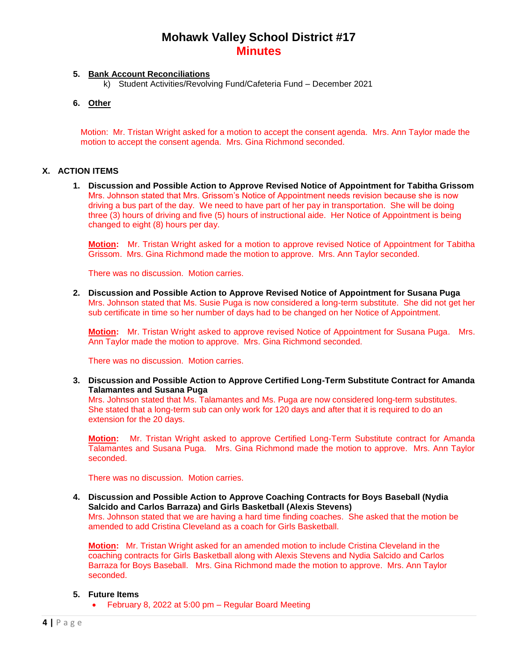## **5. Bank Account Reconciliations**

k) Student Activities/Revolving Fund/Cafeteria Fund – December 2021

## **6. Other**

Motion: Mr. Tristan Wright asked for a motion to accept the consent agenda. Mrs. Ann Taylor made the motion to accept the consent agenda. Mrs. Gina Richmond seconded.

## **X. ACTION ITEMS**

**1. Discussion and Possible Action to Approve Revised Notice of Appointment for Tabitha Grissom** Mrs. Johnson stated that Mrs. Grissom's Notice of Appointment needs revision because she is now driving a bus part of the day. We need to have part of her pay in transportation. She will be doing three (3) hours of driving and five (5) hours of instructional aide. Her Notice of Appointment is being changed to eight (8) hours per day.

**Motion:** Mr. Tristan Wright asked for a motion to approve revised Notice of Appointment for Tabitha Grissom. Mrs. Gina Richmond made the motion to approve. Mrs. Ann Taylor seconded.

There was no discussion. Motion carries.

**2. Discussion and Possible Action to Approve Revised Notice of Appointment for Susana Puga** Mrs. Johnson stated that Ms. Susie Puga is now considered a long-term substitute. She did not get her sub certificate in time so her number of days had to be changed on her Notice of Appointment.

**Motion:** Mr. Tristan Wright asked to approve revised Notice of Appointment for Susana Puga. Mrs. Ann Taylor made the motion to approve. Mrs. Gina Richmond seconded.

There was no discussion. Motion carries.

**3. Discussion and Possible Action to Approve Certified Long-Term Substitute Contract for Amanda Talamantes and Susana Puga**

Mrs. Johnson stated that Ms. Talamantes and Ms. Puga are now considered long-term substitutes. She stated that a long-term sub can only work for 120 days and after that it is required to do an extension for the 20 days.

**Motion:** Mr. Tristan Wright asked to approve Certified Long-Term Substitute contract for Amanda Talamantes and Susana Puga. Mrs. Gina Richmond made the motion to approve. Mrs. Ann Taylor seconded.

There was no discussion. Motion carries.

**4. Discussion and Possible Action to Approve Coaching Contracts for Boys Baseball (Nydia Salcido and Carlos Barraza) and Girls Basketball (Alexis Stevens)**

Mrs. Johnson stated that we are having a hard time finding coaches. She asked that the motion be amended to add Cristina Cleveland as a coach for Girls Basketball.

**Motion:** Mr. Tristan Wright asked for an amended motion to include Cristina Cleveland in the coaching contracts for Girls Basketball along with Alexis Stevens and Nydia Salcido and Carlos Barraza for Boys Baseball. Mrs. Gina Richmond made the motion to approve. Mrs. Ann Taylor seconded.

#### **5. Future Items**

February 8, 2022 at 5:00 pm – Regular Board Meeting